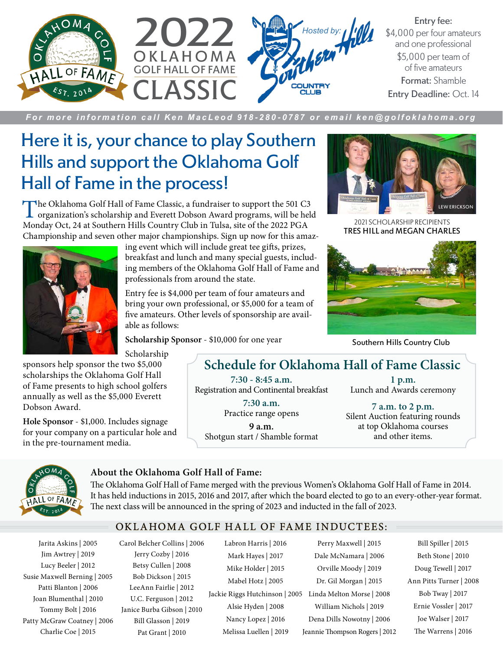

Entry fee: \$4,000 per four amateurs and one professional \$5,000 per team of of five amateurs Format: Shamble Entry Deadline: Oct. 14

*For more information call Ken MacLeod 918-280-0787 or email ken@golfoklahoma.org*

### Here it is, your chance to play Southern Hills and support the Oklahoma Golf Hall of Fame in the process!

The Oklahoma Golf Hall of Fame Classic, a fundraiser to support the 501 C3 organization's scholarship and Everett Dobson Award programs, will be held Monday Oct, 24 at Southern Hills Country Club in Tulsa, site of the 2022 PGA Championship and seven other major championships. Sign up now for this amaz-



ing event which will include great tee gifts, prizes, breakfast and lunch and many special guests, including members of the Oklahoma Golf Hall of Fame and professionals from around the state.

Entry fee is \$4,000 per team of four amateurs and bring your own professional, or \$5,000 for a team of five amateurs. Other levels of sponsorship are available as follows:

**Scholarship Sponsor** - \$10,000 for one year



TRES HILL and MEGAN CHARLES 2021 SCHOLARSHIP RECIPIENTS



Southern Hills Country Club

Scholarship

sponsors help sponsor the two \$5,000 scholarships the Oklahoma Golf Hall of Fame presents to high school golfers annually as well as the \$5,000 Everett Dobson Award.

**Hole Sponsor** - \$1,000. Includes signage for your company on a particular hole and in the pre-tournament media.

### **Schedule for Oklahoma Hall of Fame Classic**

**7:30 - 8:45 a.m.** Registration and Continental breakfast

> **7:30 a.m.** Practice range opens

**9 a.m.** Shotgun start / Shamble format

**1 p.m.** Lunch and Awards ceremony

**7 a.m. to 2 p.m.** Silent Auction featuring rounds at top Oklahoma courses and other items.



#### **About the Oklahoma Golf Hall of Fame:**

The Oklahoma Golf Hall of Fame merged with the previous Women's Oklahoma Golf Hall of Fame in 2014. It has held inductions in 2015, 2016 and 2017, after which the board elected to go to an every-other-year format. The next class will be announced in the spring of 2023 and inducted in the fall of 2023.

### OKLAHOMA GOLF HALL OF FAME INDUCTEES:

Jarita Askins | 2005 Jim Awtrey | 2019 Lucy Beeler | 2012 Susie Maxwell Berning | 2005 Patti Blanton | 2006 Joan Blumenthal | 2010 Tommy Bolt | 2016 Patty McGraw Coatney | 2006 Charlie Coe | 2015

Carol Belcher Collins | 2006 Jerry Cozby | 2016 Betsy Cullen | 2008 Bob Dickson | 2015 LeeAnn Fairlie | 2012 U.C. Ferguson | 2012 Janice Burba Gibson | 2010 Bill Glasson | 2019 Pat Grant | 2010

Labron Harris | 2016 Mark Hayes | 2017 Mike Holder | 2015 Mabel Hotz | 2005 Alsie Hyden | 2008

Nancy Lopez | 2016 Melissa Luellen | 2019

Jackie Riggs Hutchinson | 2005 Linda Melton Morse | 2008 Perry Maxwell | 2015 Dale McNamara | 2006 Orville Moody | 2019 Dr. Gil Morgan | 2015 William Nichols | 2019 Dena Dills Nowotny | 2006 Jeannie Thompson Rogers | 2012

Bill Spiller | 2015 Beth Stone | 2010 Doug Tewell | 2017 Ann Pitts Turner | 2008 Bob Tway | 2017 Ernie Vossler | 2017 Joe Walser | 2017 The Warrens | 2016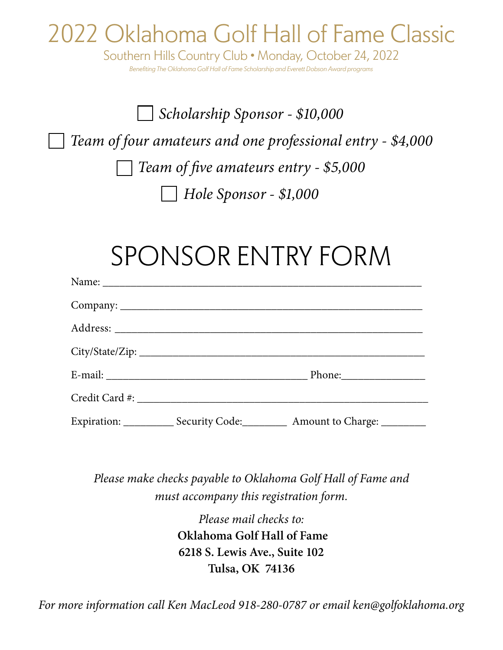## 2022 Oklahoma Golf Hall of Fame Classic

Southern Hills Country Club • Monday, October 24, 2022 *Benefiting The Oklahoma Golf Hall of Fame Scholarship and Everett Dobson Award programs*

## *Scholarship Sponsor - \$10,000 Team of four amateurs and one professional entry - \$4,000 Team of five amateurs entry - \$5,000 Hole Sponsor - \$1,000*

# SPONSOR ENTRY FORM

| Name: Name and the state of the state of the state of the state of the state of the state of the state of the state of the state of the state of the state of the state of the state of the state of the state of the state of |                                                                                  |
|--------------------------------------------------------------------------------------------------------------------------------------------------------------------------------------------------------------------------------|----------------------------------------------------------------------------------|
|                                                                                                                                                                                                                                |                                                                                  |
|                                                                                                                                                                                                                                |                                                                                  |
|                                                                                                                                                                                                                                |                                                                                  |
|                                                                                                                                                                                                                                |                                                                                  |
|                                                                                                                                                                                                                                |                                                                                  |
|                                                                                                                                                                                                                                | Expiration: _____________ Security Code: ___________ Amount to Charge: _________ |

*Please make checks payable to Oklahoma Golf Hall of Fame and must accompany this registration form.* 

> *Please mail checks to:* **Oklahoma Golf Hall of Fame 6218 S. Lewis Ave., Suite 102 Tulsa, OK 74136**

*For more information call Ken MacLeod 918-280-0787 or email ken@golfoklahoma.org*